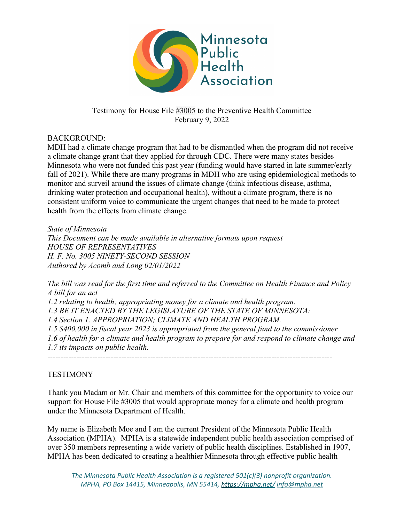

## Testimony for House File #3005 to the Preventive Health Committee February 9, 2022

## BACKGROUND:

MDH had a climate change program that had to be dismantled when the program did not receive a climate change grant that they applied for through CDC. There were many states besides Minnesota who were not funded this past year (funding would have started in late summer/early fall of 2021). While there are many programs in MDH who are using epidemiological methods to monitor and surveil around the issues of climate change (think infectious disease, asthma, drinking water protection and occupational health), without a climate program, there is no consistent uniform voice to communicate the urgent changes that need to be made to protect health from the effects from climate change.

*State of Minnesota This Document can be made available in alternative formats upon request HOUSE OF REPRESENTATIVES H. F. No. 3005 NINETY-SECOND SESSION Authored by Acomb and Long 02/01/2022*

*The bill was read for the first time and referred to the Committee on Health Finance and Policy A bill for an act 1.2 relating to health; appropriating money for a climate and health program. 1.3 BE IT ENACTED BY THE LEGISLATURE OF THE STATE OF MINNESOTA: 1.4 Section 1. APPROPRIATION; CLIMATE AND HEALTH PROGRAM. 1.5 \$400,000 in fiscal year 2023 is appropriated from the general fund to the commissioner 1.6 of health for a climate and health program to prepare for and respond to climate change and 1.7 its impacts on public health.* ------------------------------------------------------------------------------------------------------------

## **TESTIMONY**

Thank you Madam or Mr. Chair and members of this committee for the opportunity to voice our support for House File #3005 that would appropriate money for a climate and health program under the Minnesota Department of Health.

My name is Elizabeth Moe and I am the current President of the Minnesota Public Health Association (MPHA). MPHA is a statewide independent public health association comprised of over 350 members representing a wide variety of public health disciplines. Established in 1907, MPHA has been dedicated to creating a healthier Minnesota through effective public health

*The Minnesota Public Health Association is a registered 501(c)(3) nonprofit organization. MPHA, PO Box 14415, Minneapolis, MN 55414, info@mpha.net*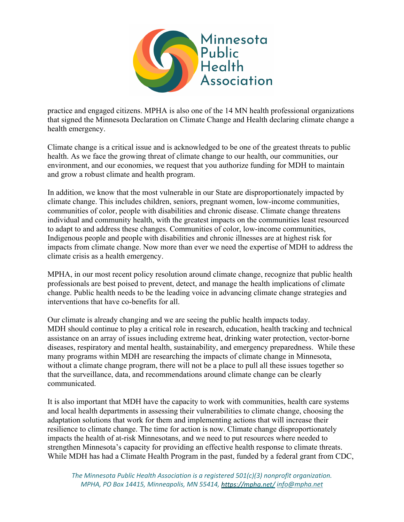

practice and engaged citizens. MPHA is also one of the 14 MN health professional organizations that signed the Minnesota Declaration on Climate Change and Health declaring climate change a health emergency.

Climate change is a critical issue and is acknowledged to be one of the greatest threats to public health. As we face the growing threat of climate change to our health, our communities, our environment, and our economies, we request that you authorize funding for MDH to maintain and grow a robust climate and health program.

In addition, we know that the most vulnerable in our State are disproportionately impacted by climate change. This includes children, seniors, pregnant women, low-income communities, communities of color, people with disabilities and chronic disease. Climate change threatens individual and community health, with the greatest impacts on the communities least resourced to adapt to and address these changes. Communities of color, low-income communities, Indigenous people and people with disabilities and chronic illnesses are at highest risk for impacts from climate change. Now more than ever we need the expertise of MDH to address the climate crisis as a health emergency.

MPHA, in our most recent policy resolution around climate change, recognize that public health professionals are best poised to prevent, detect, and manage the health implications of climate change. Public health needs to be the leading voice in advancing climate change strategies and interventions that have co-benefits for all.

Our climate is already changing and we are seeing the public health impacts today. MDH should continue to play a critical role in research, education, health tracking and technical assistance on an array of issues including extreme heat, drinking water protection, vector-borne diseases, respiratory and mental health, sustainability, and emergency preparedness. While these many programs within MDH are researching the impacts of climate change in Minnesota, without a climate change program, there will not be a place to pull all these issues together so that the surveillance, data, and recommendations around climate change can be clearly communicated.

It is also important that MDH have the capacity to work with communities, health care systems and local health departments in assessing their vulnerabilities to climate change, choosing the adaptation solutions that work for them and implementing actions that will increase their resilience to climate change. The time for action is now. Climate change disproportionately impacts the health of at-risk Minnesotans, and we need to put resources where needed to strengthen Minnesota's capacity for providing an effective health response to climate threats. While MDH has had a Climate Health Program in the past, funded by a federal grant from CDC,

*The Minnesota Public Health Association is a registered 501(c)(3) nonprofit organization. MPHA, PO Box 14415, Minneapolis, MN 55414, info@mpha.net*